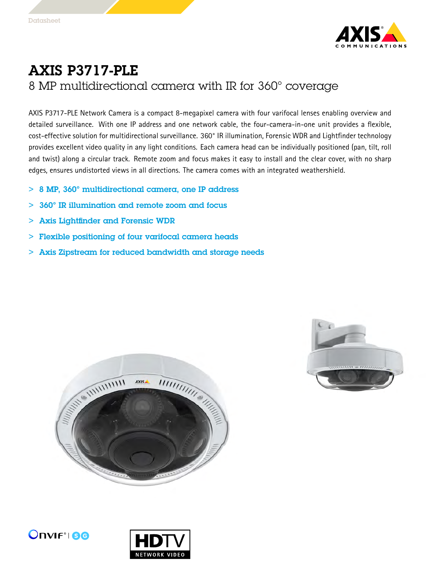

## AXIS P3717-PLE <sup>8</sup> MP multidirectional camera with IR for 360° coverage

AXIS P3717-PLE Network Camera is <sup>a</sup> compact 8-megapixel camera with four varifocal lenses enabling overview and detailed surveillance. With one IP address and one network cable, the four-camera-in-one unit provides <sup>a</sup> flexible, cost-effective solution for multidirectional surveillance. 360° IR illumination, Forensic WDR and Lightfinder technology provides excellent video quality in any light conditions. Each camera head can be individually positioned (pan, tilt, roll and twist) along <sup>a</sup> circular track. Remote zoom and focus makes it easy to install and the clear cover, with no sharp edges, ensures undistorted views in all directions. The camera comes with an integrated weathershield.

- <sup>&</sup>gt; <sup>8</sup> MP, 360° multidirectional camera, one IP address
- <sup>&</sup>gt; 360° IR illumination and remote zoom and focus
- <sup>&</sup>gt; Axis Lightfinder and Forensic WDR
- <sup>&</sup>gt; Flexible positioning of four varifocal camera heads
- <sup>&</sup>gt; Axis Zipstream for reduced bandwidth and storage needs